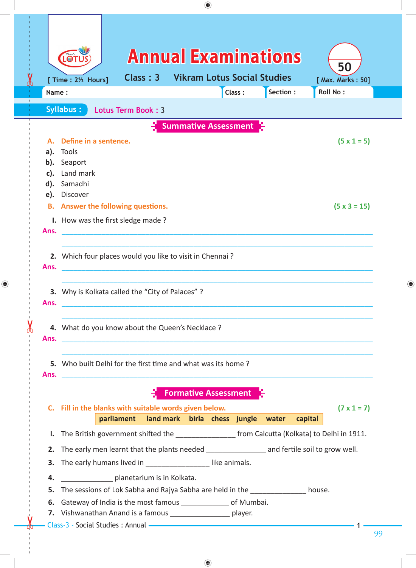|    |                                                                                                                                                                                                                                                                                                                                                                                          |                                                                                                                                                                                                                                               |                                                                                                                                                                                                |                                                                   | ⊕      |  |           |         |                                            |    |   |
|----|------------------------------------------------------------------------------------------------------------------------------------------------------------------------------------------------------------------------------------------------------------------------------------------------------------------------------------------------------------------------------------------|-----------------------------------------------------------------------------------------------------------------------------------------------------------------------------------------------------------------------------------------------|------------------------------------------------------------------------------------------------------------------------------------------------------------------------------------------------|-------------------------------------------------------------------|--------|--|-----------|---------|--------------------------------------------|----|---|
| OO | Name:                                                                                                                                                                                                                                                                                                                                                                                    | LOT<br>[ Time : 21/2 Hours]                                                                                                                                                                                                                   | Class: 3                                                                                                                                                                                       | <b>Annual Examinations</b><br><b>Vikram Lotus Social Studies</b>  | Class: |  | Section : |         | 50<br>[ Max. Marks: 50]<br><b>Roll No:</b> |    |   |
|    |                                                                                                                                                                                                                                                                                                                                                                                          | <b>Syllabus:</b>                                                                                                                                                                                                                              | Lotus Term Book: 3                                                                                                                                                                             |                                                                   |        |  |           |         |                                            |    |   |
|    | <b>Summative Assessment</b><br>Define in a sentence.<br>$(5 \times 1 = 5)$<br>Tools<br>a).<br>b). Seaport<br>Land mark<br>c).                                                                                                                                                                                                                                                            |                                                                                                                                                                                                                                               |                                                                                                                                                                                                |                                                                   |        |  |           |         |                                            |    |   |
|    | e).<br>Ans.                                                                                                                                                                                                                                                                                                                                                                              | d). Samadhi<br>Discover<br><b>B.</b> Answer the following questions.<br>I. How was the first sledge made?                                                                                                                                     |                                                                                                                                                                                                |                                                                   |        |  |           |         | $(5 \times 3 = 15)$                        |    |   |
|    | 2. Which four places would you like to visit in Chennai?<br>Ans.<br>3. Why is Kolkata called the "City of Palaces" ?<br>Ans.<br>4. What do you know about the Queen's Necklace ?<br>Ans.<br>5. Who built Delhi for the first time and what was its home?<br>Ans.<br><u> 1989 - Andrea Santa Andrea Santa Andrea Santa Andrea Santa Andrea Santa Andrea Santa Andrea Santa Andrea San</u> |                                                                                                                                                                                                                                               |                                                                                                                                                                                                |                                                                   |        |  |           |         |                                            |    | ⊕ |
|    |                                                                                                                                                                                                                                                                                                                                                                                          |                                                                                                                                                                                                                                               |                                                                                                                                                                                                |                                                                   |        |  |           |         |                                            |    |   |
|    |                                                                                                                                                                                                                                                                                                                                                                                          |                                                                                                                                                                                                                                               |                                                                                                                                                                                                |                                                                   |        |  |           |         |                                            |    |   |
|    |                                                                                                                                                                                                                                                                                                                                                                                          | C. Fill in the blanks with suitable words given below.                                                                                                                                                                                        | parliament                                                                                                                                                                                     | <b>Formative Assessment</b><br>land mark birla chess jungle water |        |  |           | capital | $(7 \times 1 = 7)$                         |    |   |
|    |                                                                                                                                                                                                                                                                                                                                                                                          | I. The British government shifted the _____________________ from Calcutta (Kolkata) to Delhi in 1911.                                                                                                                                         |                                                                                                                                                                                                |                                                                   |        |  |           |         |                                            |    |   |
|    | 4.                                                                                                                                                                                                                                                                                                                                                                                       |                                                                                                                                                                                                                                               | 2. The early men learnt that the plants needed _________________ and fertile soil to grow well.<br>3. The early humans lived in ___________________like animals.<br>planetarium is in Kolkata. |                                                                   |        |  |           |         |                                            |    |   |
|    | 5.                                                                                                                                                                                                                                                                                                                                                                                       | The sessions of Lok Sabha and Rajya Sabha are held in the house.<br>6. Gateway of India is the most famous _______________ of Mumbai.<br>7. Vishwanathan Anand is a famous ___________________ player.<br>Class-3 - Social Studies : Annual - |                                                                                                                                                                                                |                                                                   |        |  |           |         |                                            |    |   |
|    |                                                                                                                                                                                                                                                                                                                                                                                          |                                                                                                                                                                                                                                               |                                                                                                                                                                                                |                                                                   |        |  |           |         |                                            | 99 |   |

 $\bigoplus$ 

 $\bigoplus$